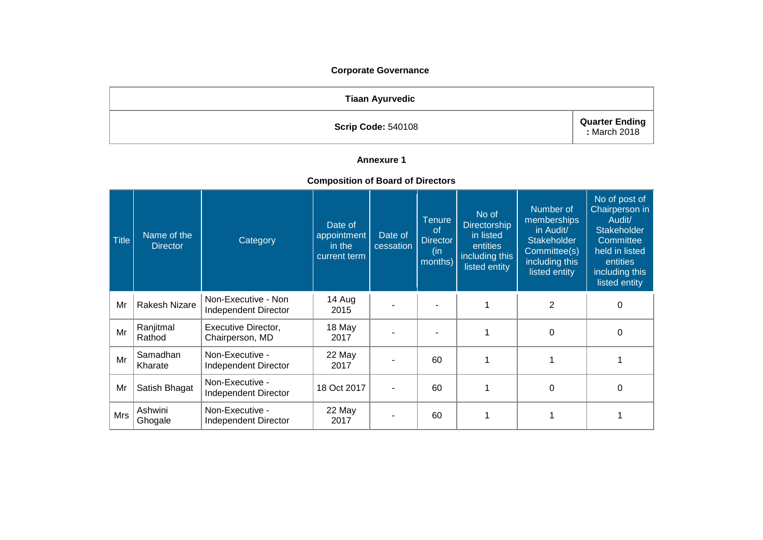### **Corporate Governance**

| <b>Tiaan Ayurvedic</b>    |                                      |
|---------------------------|--------------------------------------|
| <b>Scrip Code: 540108</b> | <b>Quarter Ending</b><br>March 2018: |

# **Annexure 1**

#### **Composition of Board of Directors**

| $\vert$ Title | Name of the<br><b>Director</b> | Category                                    | Date of<br>appointment<br>in the<br>current term | Date of<br>cessation | <b>Tenure</b><br><sub>of</sub><br><b>Director</b><br>(in<br>months) | No of<br><b>Directorship</b><br>in listed<br>entities<br>including this<br>listed entity | Number of<br>memberships<br>in Audit/<br><b>Stakeholder</b><br>Committee(s)<br>including this<br>listed entity | No of post of<br>Chairperson in<br>Audit/<br><b>Stakeholder</b><br>Committee<br>held in listed<br>entities<br>including this<br>listed entity |
|---------------|--------------------------------|---------------------------------------------|--------------------------------------------------|----------------------|---------------------------------------------------------------------|------------------------------------------------------------------------------------------|----------------------------------------------------------------------------------------------------------------|-----------------------------------------------------------------------------------------------------------------------------------------------|
| Mr            | Rakesh Nizare                  | Non-Executive - Non<br>Independent Director | 14 Aug<br>2015                                   |                      |                                                                     |                                                                                          | $\overline{2}$                                                                                                 | 0                                                                                                                                             |
| Mr            | Ranjitmal<br>Rathod            | Executive Director,<br>Chairperson, MD      | 18 May<br>2017                                   |                      |                                                                     |                                                                                          | $\Omega$                                                                                                       | 0                                                                                                                                             |
| Mr            | Samadhan<br>Kharate            | Non-Executive -<br>Independent Director     | 22 May<br>2017                                   |                      | 60                                                                  |                                                                                          |                                                                                                                |                                                                                                                                               |
| Mr            | Satish Bhagat                  | Non-Executive -<br>Independent Director     | 18 Oct 2017                                      |                      | 60                                                                  |                                                                                          | 0                                                                                                              | $\Omega$                                                                                                                                      |
| Mrs           | Ashwini<br>Ghogale             | Non-Executive -<br>Independent Director     | 22 May<br>2017                                   |                      | 60                                                                  |                                                                                          |                                                                                                                |                                                                                                                                               |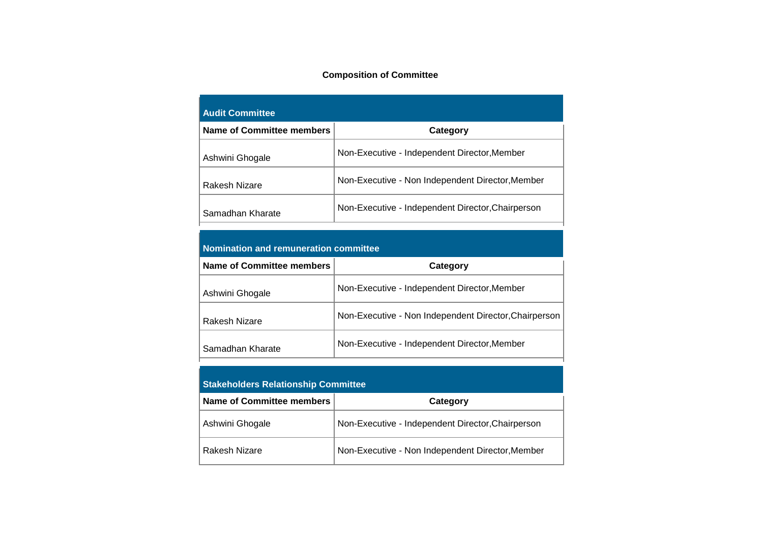### **Composition of Committee**

| <b>Audit Committee</b>    |                                                   |  |  |  |
|---------------------------|---------------------------------------------------|--|--|--|
| Name of Committee members | Category                                          |  |  |  |
| Ashwini Ghogale           | Non-Executive - Independent Director, Member      |  |  |  |
| Rakesh Nizare             | Non-Executive - Non Independent Director, Member  |  |  |  |
| Samadhan Kharate          | Non-Executive - Independent Director, Chairperson |  |  |  |

| <b>Nomination and remuneration committee</b> |  |
|----------------------------------------------|--|
| Now a of $\alpha$ -multiple mountains $\ $   |  |

| <b>Name of Committee members</b> | Category                                              |
|----------------------------------|-------------------------------------------------------|
| Ashwini Ghogale                  | Non-Executive - Independent Director, Member          |
| Rakesh Nizare                    | Non-Executive - Non Independent Director, Chairperson |
| Samadhan Kharate                 | Non-Executive - Independent Director, Member          |

| <b>Stakeholders Relationship Committee</b> |                                                   |  |  |
|--------------------------------------------|---------------------------------------------------|--|--|
| Name of Committee members<br>Category      |                                                   |  |  |
| Ashwini Ghogale                            | Non-Executive - Independent Director, Chairperson |  |  |
| Rakesh Nizare                              | Non-Executive - Non Independent Director, Member  |  |  |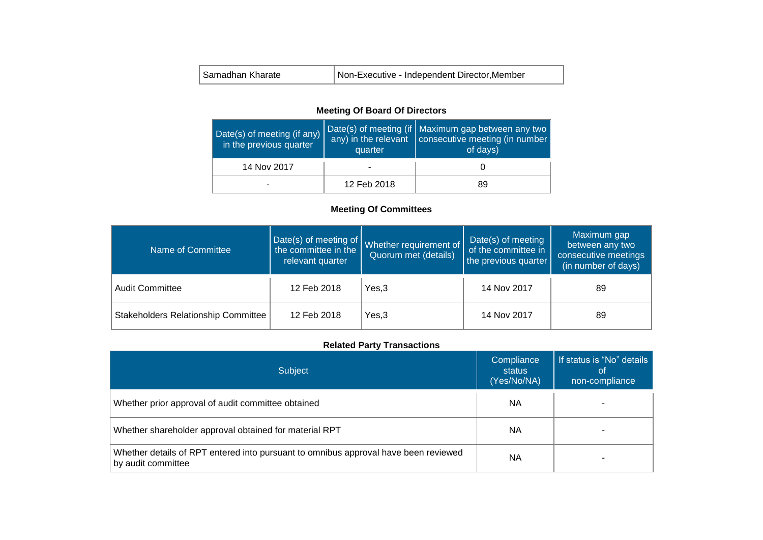| Samadhan Kharate | Non-Executive - Independent Director, Member |
|------------------|----------------------------------------------|
|------------------|----------------------------------------------|

### **Meeting Of Board Of Directors**

| Date(s) of meeting (if any)<br>in the previous quarter | quarter     | Date(s) of meeting (if   Maximum gap between any two<br>any) in the relevant consecutive meeting (in number<br>of days) |  |
|--------------------------------------------------------|-------------|-------------------------------------------------------------------------------------------------------------------------|--|
| 14 Nov 2017                                            |             |                                                                                                                         |  |
| ۰                                                      | 12 Feb 2018 | 89                                                                                                                      |  |

# **Meeting Of Committees**

| Name of Committee                   | the committee in the<br>relevant quarter | Date(s) of meeting of Whether requirement of<br>Quorum met (details) | Date(s) of meeting<br>of the committee in<br>the previous quarter | Maximum gap<br>between any two<br>consecutive meetings<br>(in number of days) |
|-------------------------------------|------------------------------------------|----------------------------------------------------------------------|-------------------------------------------------------------------|-------------------------------------------------------------------------------|
| <b>Audit Committee</b>              | 12 Feb 2018                              | Yes,3                                                                | 14 Nov 2017                                                       | 89                                                                            |
| Stakeholders Relationship Committee | 12 Feb 2018                              | Yes,3                                                                | 14 Nov 2017                                                       | 89                                                                            |

# **Related Party Transactions**

| Subject                                                                                                   | Compliance<br>status<br>(Yes/No/NA) | If status is "No" details<br>0t<br>non-compliance |
|-----------------------------------------------------------------------------------------------------------|-------------------------------------|---------------------------------------------------|
| Whether prior approval of audit committee obtained                                                        | ΝA                                  |                                                   |
| Whether shareholder approval obtained for material RPT                                                    | NА                                  |                                                   |
| Whether details of RPT entered into pursuant to omnibus approval have been reviewed<br>by audit committee | ΝA                                  |                                                   |